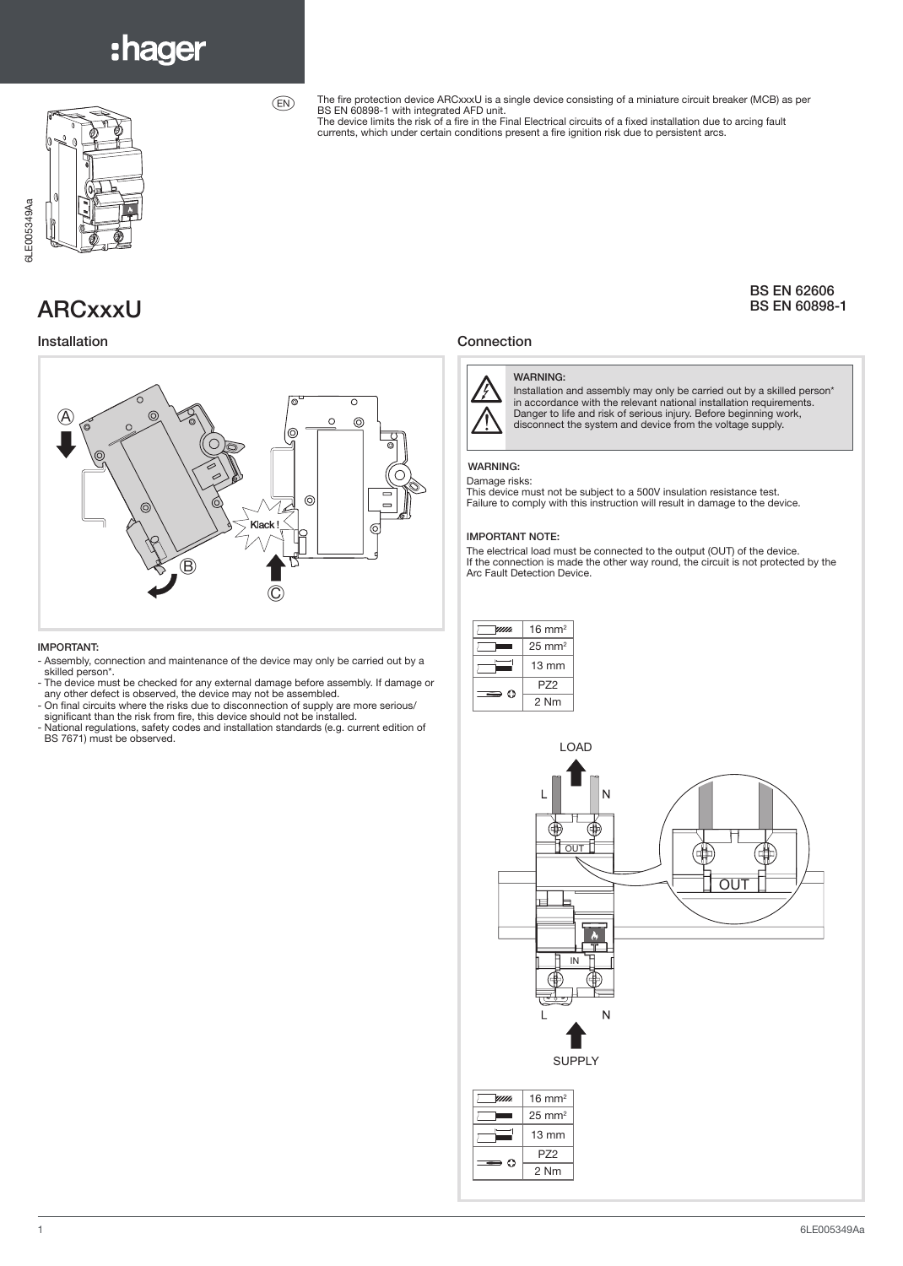# :hager



The fire protection device ARCxxxU is a single device consisting of a miniature circuit breaker (MCB) as per<br>BS EN 60898-1 with integrated AFD unit.<br>The device limits the risk of a fire in the Final Electrical circuits of

currents, which under certain conditions present a fire ignition risk due to persistent arcs.

### BS EN 62606 BS EN 60898-1

### Installation **Connection**



#### WARNING:

Installation and assembly may only be carried out by a skilled person\*<br>in accordance with the relevant national installation requirements.<br>Danger to life and risk of serious injury. Before beginning work,<br>disconnect the sy

#### WARNING:

#### Damage risks:

This device must not be subject to a 500V insulation resistance test. Failure to comply with this instruction will result in damage to the device.

#### IMPORTANT NOTE:

The electrical load must be connected to the output (OUT) of the device. If the connection is made the other way round, the circuit is not protected by the Arc Fault Detection Device.

| mm.             | $16 \text{ mm}^2$ |
|-----------------|-------------------|
|                 | $25 \text{ mm}^2$ |
|                 | $13 \text{ mm}$   |
| $\Rightarrow$ 0 | P72               |
|                 | 2 Nm              |



## ARCxxxU



 $(EN)$ 

#### IMPORTANT:

- Assembly, connection and maintenance of the device may only be carried out by a skilled person\*.
- The device must be checked for any external damage before assembly. If damage or any other defect is observed, the device may not be assembled. - On final circuits where the risks due to disconnection of supply are more serious/
- 
- significant than the risk from fire, this device should not be installed. - National regulations, safety codes and installation standards (e.g. current edition of BS 7671) must be observed.